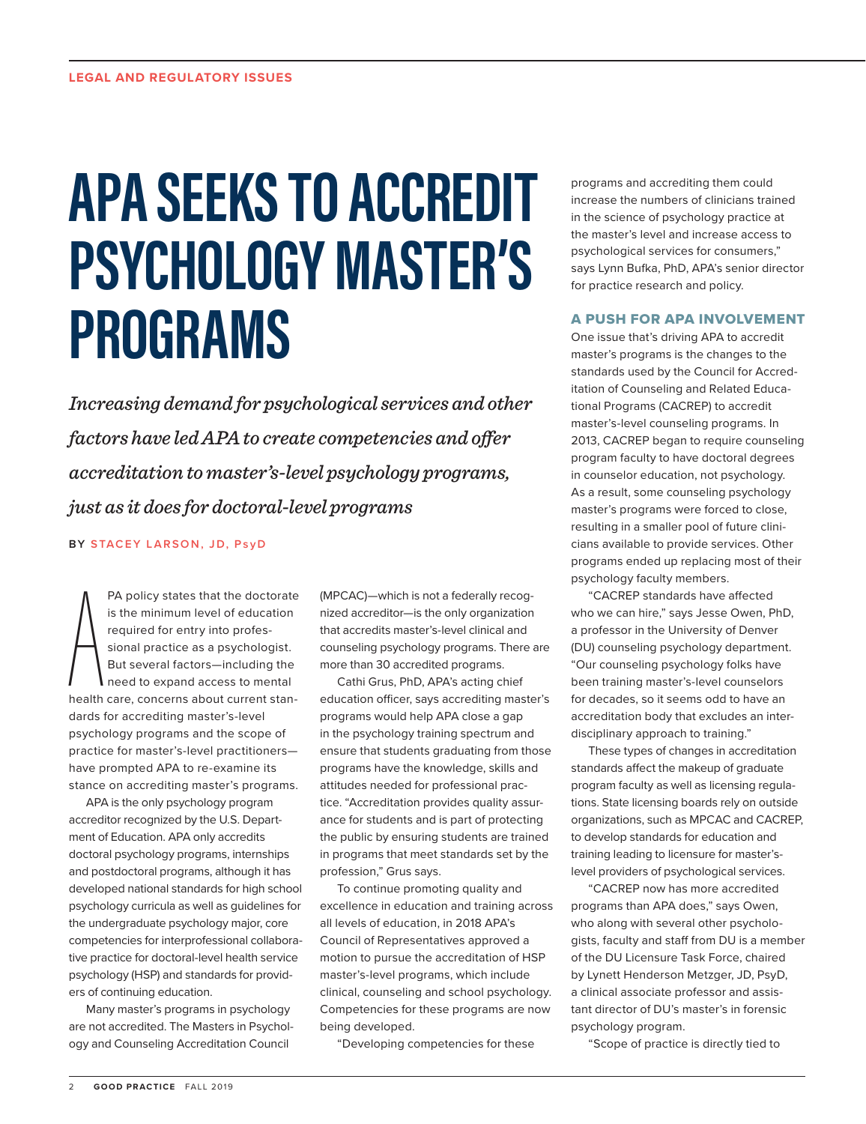## **APA SEEKS TO ACCREDIT PSYCHOLOGY MASTER'S PROGRAMS**

*Increasing demand for psychological services and other factors have led APA to create competencies and offer accreditation to master's-level psychology programs, just as it does for doctoral-level programs*

**BY STACEY LARSON, JD, PsyD**

 $\left\{\begin{array}{c}\right\} \qquad \qquad \downarrow \qquad \downarrow \qquad \downarrow \qquad \downarrow \qquad \downarrow \qquad \downarrow \qquad \downarrow \qquad \downarrow \qquad \downarrow \qquad \downarrow \qquad \downarrow \qquad \downarrow \qquad \downarrow \qquad \downarrow \qquad \downarrow \qquad \downarrow \qquad \downarrow \qquad \downarrow \qquad \downarrow \qquad \downarrow \qquad \downarrow \qquad \downarrow \qquad \downarrow \qquad \downarrow \qquad \downarrow \qquad \downarrow \qquad \downarrow \qquad \downarrow \qquad \downarrow \qquad \downarrow \qquad \downarrow \qquad \downarrow \qquad \downarrow \qquad \downarrow$ PA policy states that the doctorate is the minimum level of education required for entry into professional practice as a psychologist. But several factors—including the need to expand access to mental health care, concerns about current standards for accrediting master's-level psychology programs and the scope of practice for master's-level practitioners have prompted APA to re-examine its stance on accrediting master's programs.

APA is the only psychology program accreditor recognized by the U.S. Department of Education. APA only accredits doctoral psychology programs, internships and postdoctoral programs, although it has developed national standards for high school psychology curricula as well as guidelines for the undergraduate psychology major, core competencies for interprofessional collaborative practice for doctoral-level health service psychology (HSP) and standards for providers of continuing education.

Many master's programs in psychology are not accredited. The Masters in Psychology and Counseling Accreditation Council

(MPCAC)—which is not a federally recognized accreditor—is the only organization that accredits master's-level clinical and counseling psychology programs. There are more than 30 accredited programs.

Cathi Grus, PhD, APA's acting chief education officer, says accrediting master's programs would help APA close a gap in the psychology training spectrum and ensure that students graduating from those programs have the knowledge, skills and attitudes needed for professional practice. "Accreditation provides quality assurance for students and is part of protecting the public by ensuring students are trained in programs that meet standards set by the profession," Grus says.

To continue promoting quality and excellence in education and training across all levels of education, in 2018 APA's Council of Representatives approved a motion to pursue the accreditation of HSP master's-level programs, which include clinical, counseling and school psychology. Competencies for these programs are now being developed.

"Developing competencies for these

programs and accrediting them could increase the numbers of clinicians trained in the science of psychology practice at the master's level and increase access to psychological services for consumers," says Lynn Bufka, PhD, APA's senior director for practice research and policy.

## A PUSH FOR APA INVOLVEMENT

One issue that's driving APA to accredit master's programs is the changes to the standards used by the Council for Accreditation of Counseling and Related Educational Programs (CACREP) to accredit master's-level counseling programs. In 2013, CACREP began to require counseling program faculty to have doctoral degrees in counselor education, not psychology. As a result, some counseling psychology master's programs were forced to close, resulting in a smaller pool of future clinicians available to provide services. Other programs ended up replacing most of their psychology faculty members.

"CACREP standards have affected who we can hire," says Jesse Owen, PhD, a professor in the University of Denver (DU) counseling psychology department. "Our counseling psychology folks have been training master's-level counselors for decades, so it seems odd to have an accreditation body that excludes an interdisciplinary approach to training."

These types of changes in accreditation standards affect the makeup of graduate program faculty as well as licensing regulations. State licensing boards rely on outside organizations, such as MPCAC and CACREP, to develop standards for education and training leading to licensure for master'slevel providers of psychological services.

"CACREP now has more accredited programs than APA does," says Owen, who along with several other psychologists, faculty and staff from DU is a member of the DU Licensure Task Force, chaired by Lynett Henderson Metzger, JD, PsyD, a clinical associate professor and assistant director of DU's master's in forensic psychology program.

"Scope of practice is directly tied to